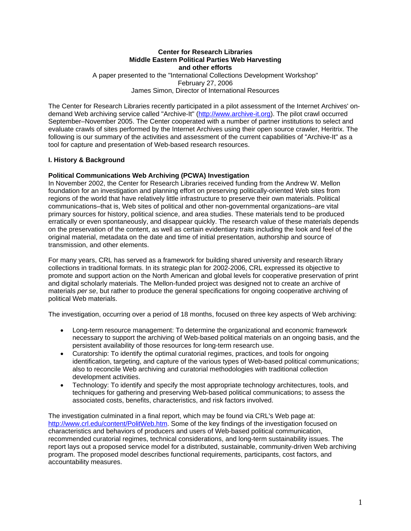# **Center for Research Libraries Middle Eastern Political Parties Web Harvesting and other efforts**  A paper presented to the "International Collections Development Workshop"

February 27, 2006 James Simon, Director of International Resources

The Center for Research Libraries recently participated in a pilot assessment of the Internet Archives' ondemand Web archiving service called "Archive-It" (http://www.archive-it.org). The pilot crawl occurred September–November 2005. The Center cooperated with a number of partner institutions to select and evaluate crawls of sites performed by the Internet Archives using their open source crawler, Heritrix. The following is our summary of the activities and assessment of the current capabilities of "Archive-It" as a tool for capture and presentation of Web-based research resources.

# **I. History & Background**

# **Political Communications Web Archiving (PCWA) Investigation**

In November 2002, the Center for Research Libraries received funding from the Andrew W. Mellon foundation for an investigation and planning effort on preserving politically-oriented Web sites from regions of the world that have relatively little infrastructure to preserve their own materials. Political communications–that is, Web sites of political and other non-governmental organizations–are vital primary sources for history, political science, and area studies. These materials tend to be produced erratically or even spontaneously, and disappear quickly. The research value of these materials depends on the preservation of the content, as well as certain evidentiary traits including the look and feel of the original material, metadata on the date and time of initial presentation, authorship and source of transmission, and other elements.

For many years, CRL has served as a framework for building shared university and research library collections in traditional formats. In its strategic plan for 2002-2006, CRL expressed its objective to promote and support action on the North American and global levels for cooperative preservation of print and digital scholarly materials. The Mellon-funded project was designed not to create an archive of materials *per se*, but rather to produce the general specifications for ongoing cooperative archiving of political Web materials.

The investigation, occurring over a period of 18 months, focused on three key aspects of Web archiving:

- Long-term resource management: To determine the organizational and economic framework necessary to support the archiving of Web-based political materials on an ongoing basis, and the persistent availability of those resources for long-term research use.
- Curatorship: To identify the optimal curatorial regimes, practices, and tools for ongoing identification, targeting, and capture of the various types of Web-based political communications; also to reconcile Web archiving and curatorial methodologies with traditional collection development activities.
- Technology: To identify and specify the most appropriate technology architectures, tools, and techniques for gathering and preserving Web-based political communications; to assess the associated costs, benefits, characteristics, and risk factors involved.

The investigation culminated in a final report, which may be found via CRL's Web page at: http://www.crl.edu/content/PolitWeb.htm. Some of the key findings of the investigation focused on characteristics and behaviors of producers and users of Web-based political communication, recommended curatorial regimes, technical considerations, and long-term sustainability issues. The report lays out a proposed service model for a distributed, sustainable, community-driven Web archiving program. The proposed model describes functional requirements, participants, cost factors, and accountability measures.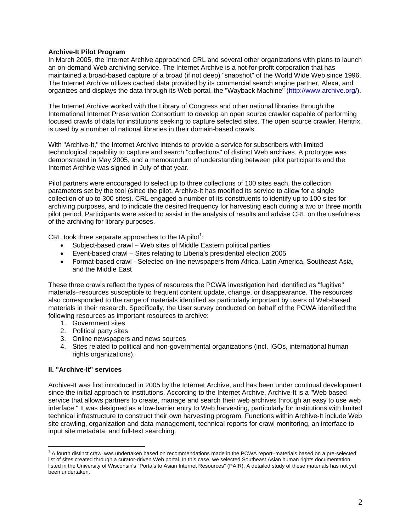### **Archive-It Pilot Program**

In March 2005, the Internet Archive approached CRL and several other organizations with plans to launch an on-demand Web archiving service. The Internet Archive is a not-for-profit corporation that has maintained a broad-based capture of a broad (if not deep) "snapshot" of the World Wide Web since 1996. The Internet Archive utilizes cached data provided by its commercial search engine partner, Alexa, and organizes and displays the data through its Web portal, the "Wayback Machine" (http://www.archive.org/).

The Internet Archive worked with the Library of Congress and other national libraries through the International Internet Preservation Consortium to develop an open source crawler capable of performing focused crawls of data for institutions seeking to capture selected sites. The open source crawler, Heritrix, is used by a number of national libraries in their domain-based crawls.

With "Archive-It," the Internet Archive intends to provide a service for subscribers with limited technological capability to capture and search "collections" of distinct Web archives. A prototype was demonstrated in May 2005, and a memorandum of understanding between pilot participants and the Internet Archive was signed in July of that year.

Pilot partners were encouraged to select up to three collections of 100 sites each, the collection parameters set by the tool (since the pilot, Archive-It has modified its service to allow for a single collection of up to 300 sites). CRL engaged a number of its constituents to identify up to 100 sites for archiving purposes, and to indicate the desired frequency for harvesting each during a two or three month pilot period. Participants were asked to assist in the analysis of results and advise CRL on the usefulness of the archiving for library purposes.

CRL took three separate approaches to the IA pilot<sup>1</sup>:

- Subject-based crawl Web sites of Middle Eastern political parties
- Event-based crawl Sites relating to Liberia's presidential election 2005
- Format-based crawl Selected on-line newspapers from Africa, Latin America, Southeast Asia, and the Middle East

These three crawls reflect the types of resources the PCWA investigation had identified as "fugitive" materials–resources susceptible to frequent content update, change, or disappearance. The resources also corresponded to the range of materials identified as particularly important by users of Web-based materials in their research. Specifically, the User survey conducted on behalf of the PCWA identified the following resources as important resources to archive:

- 1. Government sites
- 2. Political party sites
- 3. Online newspapers and news sources
- 4. Sites related to political and non-governmental organizations (incl. IGOs, international human rights organizations).

### **II. "Archive-It" services**

Archive-It was first introduced in 2005 by the Internet Archive, and has been under continual development since the initial approach to institutions. According to the Internet Archive, Archive-It is a "Web based service that allows partners to create, manage and search their web archives through an easy to use web interface." It was designed as a low-barrier entry to Web harvesting, particularly for institutions with limited technical infrastructure to construct their own harvesting program. Functions within Archive-It include Web site crawling, organization and data management, technical reports for crawl monitoring, an interface to input site metadata, and full-text searching.

 $\overline{a}$ <sup>1</sup> A fourth distinct crawl was undertaken based on recommendations made in the PCWA report–materials based on a pre-selected list of sites created through a curator-driven Web portal. In this case, we selected Southeast Asian human rights documentation listed in the University of Wisconsin's "Portals to Asian Internet Resources" (PAIR). A detailed study of these materials has not yet been undertaken.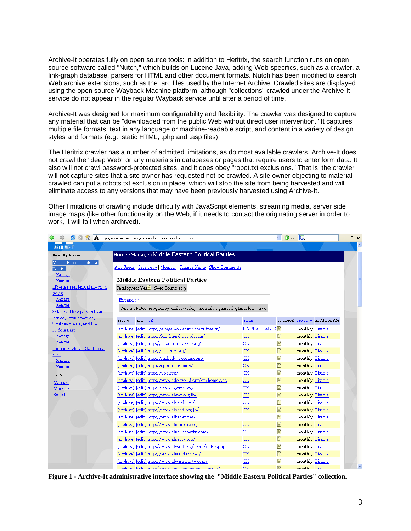Archive-It operates fully on open source tools: in addition to Heritrix, the search function runs on open source software called "Nutch," which builds on Lucene Java, adding Web-specifics, such as a crawler, a link-graph database, parsers for HTML and other document formats. Nutch has been modified to search Web archive extensions, such as the .arc files used by the Internet Archive. Crawled sites are displayed using the open source Wayback Machine platform, although "collections" crawled under the Archive-It service do not appear in the regular Wayback service until after a period of time.

Archive-It was designed for maximum configurability and flexibility. The crawler was designed to capture any material that can be "downloaded from the public Web without direct user intervention." It captures multiple file formats, text in any language or machine-readable script, and content in a variety of design styles and formats (e.g., static HTML, .php and .asp files).

The Heritrix crawler has a number of admitted limitations, as do most available crawlers. Archive-It does not crawl the "deep Web" or any materials in databases or pages that require users to enter form data. It also will not crawl password-protected sites, and it does obey "robot.txt exclusions." That is, the crawler will not capture sites that a site owner has requested not be crawled. A site owner objecting to material crawled can put a robots.txt exclusion in place, which will stop the site from being harvested and will eliminate access to any versions that may have been previously harvested using Archive-It.

Other limitations of crawling include difficulty with JavaScript elements, streaming media, server side image maps (like other functionality on the Web, if it needs to contact the originating server in order to work, it will fail when archived).

| $\bigcirc$ - $\bigcirc$ - $\bigcirc$<br>$\mathcal{L}$ |               |      | http://www.archive-it.org/archiveit/secure/seedCollection.faces              |               | $\checkmark$ | $\odot$ Go $\Box$ |                                     | Ð<br>$\boldsymbol{\mathsf{x}}$ |  |
|-------------------------------------------------------|---------------|------|------------------------------------------------------------------------------|---------------|--------------|-------------------|-------------------------------------|--------------------------------|--|
| <b>ARCHIVE-IT</b>                                     |               |      |                                                                              |               |              |                   |                                     |                                |  |
| <b>Recently Viewed</b>                                |               |      | Home>Manage>Middle Eastern Political Parties                                 |               |              |                   |                                     |                                |  |
| Middle Eastern Political                              |               |      |                                                                              |               |              |                   |                                     |                                |  |
| Parties                                               |               |      | Add Seeds   Catalogue   Monitor   Change Name   Show Comments                |               |              |                   |                                     |                                |  |
| Manage<br>Monitor                                     |               |      | <b>Middle Eastern Political Parties</b>                                      |               |              |                   |                                     |                                |  |
| Liberia Presidential Election                         |               |      | Catalogued: Yes <sup>1</sup>   Seed Count: 103                               |               |              |                   |                                     |                                |  |
| 2005                                                  |               |      |                                                                              |               |              |                   |                                     |                                |  |
| Manage                                                | $Expand$ >>   |      |                                                                              |               |              |                   |                                     |                                |  |
| Monitor                                               |               |      | Current Filter: Frequency: daily, weekly, monthly, quarterly, Enabled = true |               |              |                   |                                     |                                |  |
| Selected Newspapers from<br>Africa, Latin America,    |               |      |                                                                              |               |              |                   |                                     |                                |  |
| Southeast Asia, and the                               | <b>Browse</b> | Edit | Url1                                                                         | <b>Status</b> |              |                   | Catalogued Frequency Enable/Disable |                                |  |
| Middle East                                           |               |      | [archive] [edit] http://altagamoh.adimocraty.free.fr/                        |               |              | monthly Disable   |                                     |                                |  |
| Manage                                                |               |      | [archive] [edit] http://kurdmerd.tripod.com/                                 | OK            | h            | monthly Disable   |                                     |                                |  |
| Monitor<br>Human Rights in Southeast                  |               |      | [archive] [edit] http://lebanese-forces.org/                                 | <b>OK</b>     | e            | monthly Disable   |                                     |                                |  |
| Asia                                                  |               |      | [archive] [edit] http://pdpinfo.org/                                         | OK            | h            | monthly Disable   |                                     |                                |  |
| Manage                                                |               |      | [archive] [edit] http://rashedgg.jeeran.com/                                 | <b>OK</b>     | h            | monthly Disable   |                                     |                                |  |
| Monitor                                               |               |      | [archive] [edit] http://splmtoday.com/                                       | OK            | e            | monthly Disable   |                                     |                                |  |
| Go To                                                 |               |      | [archive] [edit] http://vob.org/                                             | OK            | e            | monthly Disable   |                                     |                                |  |
| Manage                                                |               |      | [archive] [edit] http://www.ado-world.org/en/home.php                        | OK            | e            | monthly Disable   |                                     |                                |  |
| Monitor                                               |               |      | [archive] [edit] http://www.aggsyr.org/                                      | <b>OK</b>     | Ëì           | monthly Disable   |                                     |                                |  |
| Search                                                |               |      | [archive] [edit] http://www.ahrar.org.lb/                                    | <b>OK</b>     | e            | monthly Disable   |                                     |                                |  |
|                                                       |               |      | [archive] [edit] http://www.al-islah.net/                                    | OK            | e            | monthly Disable   |                                     |                                |  |
|                                                       |               |      | [archive] [edit] http://www.alahed.org.jo/                                   | OK            | h            | monthly Disable   |                                     |                                |  |
|                                                       |               |      | [archive] [edit] http://www.alkader.net/                                     | OK            | Ëì           | monthly Disable   |                                     |                                |  |
|                                                       |               |      | [archive] [edit] http://www.alminbar.net/                                    | OK            |              | monthly Disable   |                                     |                                |  |
|                                                       |               |      | [archive] [edit] http://www.alnahdaparty.com/                                | OK            | e            | monthly Disable   |                                     |                                |  |
|                                                       |               |      | [archive] [edit] http://www.alparty.org/                                     | <b>OK</b>     | e            | monthly Disable   |                                     |                                |  |
|                                                       |               |      | [archive] [edit] http://www.alwafd.org/front/index.php                       | OK            | ë            | monthly Disable   |                                     |                                |  |
|                                                       |               |      | [archive] [edit] http://www.alwahdawi.net/                                   | OK            | e            | monthly Disable   |                                     |                                |  |
|                                                       |               |      | [archive] [edit] http://www.alwasatparty.com/                                | OK            | 閆            | monthly Disable   |                                     |                                |  |
|                                                       |               |      | Iarahitral Ladit1 http://www.amal.mourramant.org.lh/                         | OK            | 雪            | monthlir Diesklo  |                                     |                                |  |

**Figure 1 - Archive-It administrative interface showing the "Middle Eastern Political Parties" collection.**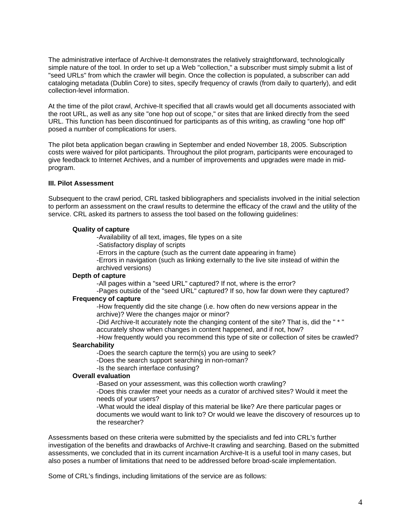The administrative interface of Archive-It demonstrates the relatively straightforward, technologically simple nature of the tool. In order to set up a Web "collection," a subscriber must simply submit a list of "seed URLs" from which the crawler will begin. Once the collection is populated, a subscriber can add cataloging metadata (Dublin Core) to sites, specify frequency of crawls (from daily to quarterly), and edit collection-level information.

At the time of the pilot crawl, Archive-It specified that all crawls would get all documents associated with the root URL, as well as any site "one hop out of scope," or sites that are linked directly from the seed URL. This function has been discontinued for participants as of this writing, as crawling "one hop off" posed a number of complications for users.

The pilot beta application began crawling in September and ended November 18, 2005. Subscription costs were waived for pilot participants. Throughout the pilot program, participants were encouraged to give feedback to Internet Archives, and a number of improvements and upgrades were made in midprogram.

### **III. Pilot Assessment**

Subsequent to the crawl period, CRL tasked bibliographers and specialists involved in the initial selection to perform an assessment on the crawl results to determine the efficacy of the crawl and the utility of the service. CRL asked its partners to assess the tool based on the following guidelines:

#### **Quality of capture**

-Availability of all text, images, file types on a site

-Satisfactory display of scripts

-Errors in the capture (such as the current date appearing in frame)

-Errors in navigation (such as linking externally to the live site instead of within the archived versions)

### **Depth of capture**

-All pages within a "seed URL" captured? If not, where is the error?

 -Pages outside of the "seed URL" captured? If so, how far down were they captured? **Frequency of capture** 

-How frequently did the site change (i.e. how often do new versions appear in the archive)? Were the changes major or minor?

-Did Archive-It accurately note the changing content of the site? That is, did the " \* " accurately show when changes in content happened, and if not, how?

-How frequently would you recommend this type of site or collection of sites be crawled?

# **Searchability**

-Does the search capture the term(s) you are using to seek?

-Does the search support searching in non-roman?

-Is the search interface confusing?

# **Overall evaluation**

-Based on your assessment, was this collection worth crawling?

-Does this crawler meet your needs as a curator of archived sites? Would it meet the needs of your users?

-What would the ideal display of this material be like? Are there particular pages or documents we would want to link to? Or would we leave the discovery of resources up to the researcher?

Assessments based on these criteria were submitted by the specialists and fed into CRL's further investigation of the benefits and drawbacks of Archive-It crawling and searching. Based on the submitted assessments, we concluded that in its current incarnation Archive-It is a useful tool in many cases, but also poses a number of limitations that need to be addressed before broad-scale implementation.

Some of CRL's findings, including limitations of the service are as follows: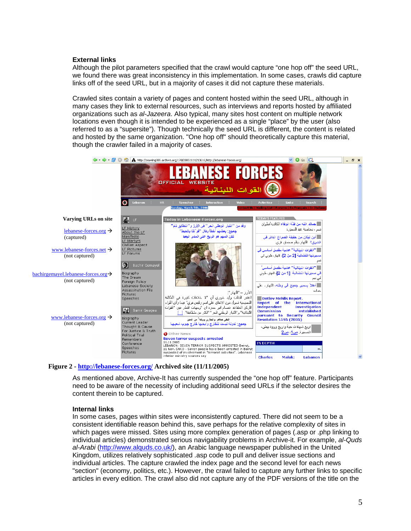### **External links**

Although the pilot parameters specified that the crawl would capture "one hop off" the seed URL, we found there was great inconsistency in this implementation. In some cases, crawls did capture links off of the seed URL, but in a majority of cases it did not capture these materials.

Crawled sites contain a variety of pages and content hosted within the seed URL, although in many cases they link to external resources, such as interviews and reports hosted by affiliated organizations such as *al-Jazeera*. Also typical, many sites host content on multiple network locations even though it is intended to be experienced as a single "place" by the user (also referred to as a "supersite"). Though technically the seed URL is different, the content is related and hosted by the same organization. "One hop off" should theoretically capture this material, though the crawler failed in a majority of cases.



#### **Figure 2 - http://lebanese-forces.org/ Archived site (11/11/2005)**

As mentioned above, Archive-It has currently suspended the "one hop off" feature. Participants need to be aware of the necessity of including additional seed URLs if the selector desires the content therein to be captured.

#### **Internal links**

In some cases, pages within sites were inconsistently captured. There did not seem to be a consistent identifiable reason behind this, save perhaps for the relative complexity of sites in which pages were missed. Sites using more complex generation of pages (.asp or .php linking to individual articles) demonstrated serious navigability problems in Archive-it. For example, *al-Quds al-Arabi* (http://www.alquds.co.uk/), an Arabic language newspaper published in the United Kingdom, utilizes relatively sophisticated .asp code to pull and deliver issue sections and individual articles. The capture crawled the index page and the second level for each news "section" (economy, politics, etc.). However, the crawl failed to capture any further links to specific articles in every edition. The crawl also did not capture any of the PDF versions of the title on the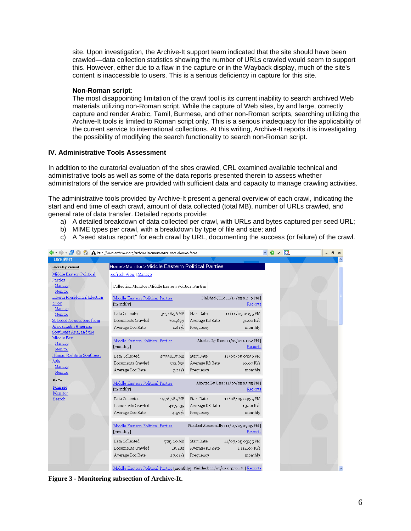site. Upon investigation, the Archive-It support team indicated that the site should have been crawled—data collection statistics showing the number of URLs crawled would seem to support this. However, either due to a flaw in the capture or in the Wayback display, much of the site's content is inaccessible to users. This is a serious deficiency in capture for this site.

### **Non-Roman script:**

The most disappointing limitation of the crawl tool is its current inability to search archived Web materials utilizing non-Roman script. While the capture of Web sites, by and large, correctly capture and render Arabic, Tamil, Burmese, and other non-Roman scripts, searching utilizing the Archive-It tools is limited to Roman script only. This is a serious inadequacy for the applicability of the current service to international collections. At this writing, Archive-It reports it is investigating the possibility of modifying the search functionality to search non-Roman script.

# **IV. Administrative Tools Assessment**

In addition to the curatorial evaluation of the sites crawled, CRL examined available technical and administrative tools as well as some of the data reports presented therein to assess whether administrators of the service are provided with sufficient data and capacity to manage crawling activities.

The administrative tools provided by Archive-It present a general overview of each crawl, indicating the start and end time of each crawl, amount of data collected (total MB), number of URLs crawled, and general rate of data transfer. Detailed reports provide:

- a) A detailed breakdown of data collected per crawl, with URLs and bytes captured per seed URL;
- b) MIME types per crawl, with a breakdown by type of file and size; and
- c) A "seed status report" for each crawl by URL, documenting the success (or failure) of the crawl.

|                                       | ← → → BO + A http://www.archive-it.org/archiveit/secure/monitorSeedCollection.faces |                                                                                  | $\circ$ Go $\circ$ | $B \times$ |
|---------------------------------------|-------------------------------------------------------------------------------------|----------------------------------------------------------------------------------|--------------------|------------|
| <b>ARCHIVE-IT</b>                     |                                                                                     |                                                                                  |                    |            |
| <b>Recently Viewed</b>                | Home>Monitor>Middle Eastern Political Parties                                       |                                                                                  |                    |            |
| Middle Eastern Political              | Refresh View   Manage                                                               |                                                                                  |                    |            |
| Parties                               |                                                                                     |                                                                                  |                    |            |
| Manage                                | Collection Monitor: Middle Eastern Political Parties                                |                                                                                  |                    |            |
| <b>Monitor</b>                        |                                                                                     |                                                                                  |                    |            |
| Liberia Presidential Election<br>2005 | Middle Eastern Political Parties                                                    | Finished (TL): 11/14/05 01:49 PM                                                 |                    |            |
| Manage                                | [monthly]                                                                           | Reports                                                                          |                    |            |
| Monitor                               | Data Collected<br>32318.56 MB                                                       | 11/11/05 01:35 PM<br><b>Start Date</b>                                           |                    |            |
| Selected Newspapers from              | Documents Crawled<br>701,697                                                        | Average KB Rate<br>34.00 K/s                                                     |                    |            |
| Africa, Latin America,                | Average Doc Rate<br>2.61/s                                                          | Frequency<br>monthly                                                             |                    |            |
| Southeast Asia, and the               |                                                                                     |                                                                                  |                    |            |
| Middle East<br>Manage                 | Middle Eastern Political Parties                                                    | Aborted By User: 11/11/05 01:59 PM                                               |                    |            |
| <b>Monitor</b>                        | [monthly]                                                                           | Reports                                                                          |                    |            |
| Human Rights in Southeast             | Data Collected<br>27338.17 MB                                                       | Start Date<br>11/09/05 03:36 PM                                                  |                    |            |
| Asia                                  | Documents Crawled<br>592,855                                                        | 10.00 K/s<br>Average KB Rate                                                     |                    |            |
| Manage                                | Average Doc Rate<br>3.21/s                                                          | Frequency<br>monthly                                                             |                    |            |
| Monitor                               |                                                                                     |                                                                                  |                    |            |
| Go To                                 | Middle Eastern Political Parties                                                    | Aborted By User: 11/09/05 03:35 PM                                               |                    |            |
| Manage                                | [monthly]                                                                           | Reports                                                                          |                    |            |
| Monitor                               | Data Collected<br>19767.85 MB                                                       | <b>Start Date</b><br>11/08/05 03:35 PM                                           |                    |            |
| Search                                | Documents Crawled                                                                   | $13.00$ K/s<br>Average KB Rate                                                   |                    |            |
|                                       | 417,039<br>Average Doc Rate                                                         |                                                                                  |                    |            |
|                                       | 4.57/s                                                                              | monthly<br>Frequency                                                             |                    |            |
|                                       | Middle Eastern Political Parties                                                    | Finished Abnormally: 11/07/05 03:45 PM                                           |                    |            |
|                                       | [monthly]                                                                           | Reports                                                                          |                    |            |
|                                       |                                                                                     |                                                                                  |                    |            |
|                                       | Data Collected<br>725.00 MB                                                         | 11/07/05 03:35 PM<br>Start Date                                                  |                    |            |
|                                       | Documents Crawled<br>15,482                                                         | Average KB Rate<br>1,114.00K/s                                                   |                    |            |
|                                       | 27.61/s<br>Average Doc Rate                                                         | Frequency<br>monthly                                                             |                    |            |
|                                       |                                                                                     |                                                                                  |                    |            |
|                                       |                                                                                     | Middle Eastern Political Parties [monthly] Finished: 11/07/05 03:36 PM   Reports |                    | v          |

**Figure 3 - Monitoring subsection of Archive-It.**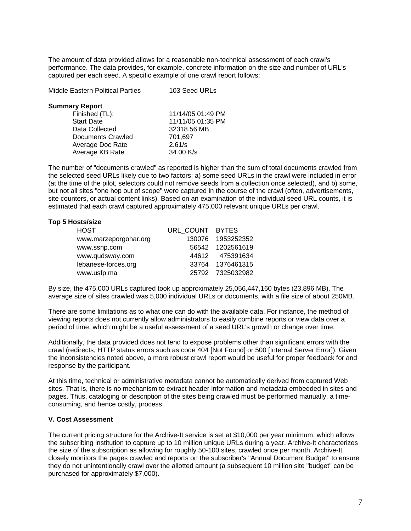The amount of data provided allows for a reasonable non-technical assessment of each crawl's performance. The data provides, for example, concrete information on the size and number of URL's captured per each seed. A specific example of one crawl report follows:

| <b>Middle Eastern Political Parties</b> | 103 Seed URLs     |  |  |
|-----------------------------------------|-------------------|--|--|
| <b>Summary Report</b>                   |                   |  |  |
| Finished (TL):                          | 11/14/05 01:49 PM |  |  |
| <b>Start Date</b>                       | 11/11/05 01:35 PM |  |  |
| Data Collected                          | 32318.56 MB       |  |  |
| Documents Crawled                       | 701,697           |  |  |
| Average Doc Rate                        | 2.61/s            |  |  |
| Average KB Rate                         | 34.00 K/s         |  |  |

The number of "documents crawled" as reported is higher than the sum of total documents crawled from the selected seed URLs likely due to two factors: a) some seed URLs in the crawl were included in error (at the time of the pilot, selectors could not remove seeds from a collection once selected), and b) some, but not all sites "one hop out of scope" were captured in the course of the crawl (often, advertisements, site counters, or actual content links). Based on an examination of the individual seed URL counts, it is estimated that each crawl captured approximately 475,000 relevant unique URLs per crawl.

### **Top 5 Hosts/size**

| <b>HOST</b>           | URL_COUNT BYTES |                   |
|-----------------------|-----------------|-------------------|
| www.marzeporgohar.org |                 | 130076 1953252352 |
| www.ssnp.com          |                 | 56542 1202561619  |
| www.qudsway.com       |                 | 44612 475391634   |
| lebanese-forces.org   |                 | 33764 1376461315  |
| www.usfp.ma           |                 | 25792 7325032982  |

By size, the 475,000 URLs captured took up approximately 25,056,447,160 bytes (23,896 MB). The average size of sites crawled was 5,000 individual URLs or documents, with a file size of about 250MB.

There are some limitations as to what one can do with the available data. For instance, the method of viewing reports does not currently allow administrators to easily combine reports or view data over a period of time, which might be a useful assessment of a seed URL's growth or change over time.

Additionally, the data provided does not tend to expose problems other than significant errors with the crawl (redirects, HTTP status errors such as code 404 [Not Found] or 500 [Internal Server Error]). Given the inconsistencies noted above, a more robust crawl report would be useful for proper feedback for and response by the participant.

At this time, technical or administrative metadata cannot be automatically derived from captured Web sites. That is, there is no mechanism to extract header information and metadata embedded in sites and pages. Thus, cataloging or description of the sites being crawled must be performed manually, a timeconsuming, and hence costly, process.

### **V. Cost Assessment**

The current pricing structure for the Archive-It service is set at \$10,000 per year minimum, which allows the subscribing institution to capture up to 10 million unique URLs during a year. Archive-It characterizes the size of the subscription as allowing for roughly 50-100 sites, crawled once per month. Archive-It closely monitors the pages crawled and reports on the subscriber's "Annual Document Budget" to ensure they do not unintentionally crawl over the allotted amount (a subsequent 10 million site "budget" can be purchased for approximately \$7,000).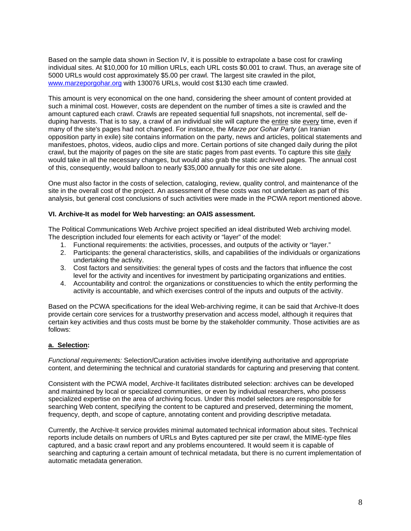Based on the sample data shown in Section IV, it is possible to extrapolate a base cost for crawling individual sites. At \$10,000 for 10 million URLs, each URL costs \$0.001 to crawl. Thus, an average site of 5000 URLs would cost approximately \$5.00 per crawl. The largest site crawled in the pilot, www.marzeporgohar.org with 130076 URLs, would cost \$130 each time crawled.

This amount is very economical on the one hand, considering the sheer amount of content provided at such a minimal cost. However, costs are dependent on the number of times a site is crawled and the amount captured each crawl. Crawls are repeated sequential full snapshots, not incremental, self deduping harvests. That is to say, a crawl of an individual site will capture the entire site every time, even if many of the site's pages had not changed. For instance, the *Marze por Gohar Party* (an Iranian opposition party in exile) site contains information on the party, news and articles, political statements and manifestoes, photos, videos, audio clips and more. Certain portions of site changed daily during the pilot crawl, but the majority of pages on the site are static pages from past events. To capture this site daily would take in all the necessary changes, but would also grab the static archived pages. The annual cost of this, consequently, would balloon to nearly \$35,000 annually for this one site alone.

One must also factor in the costs of selection, cataloging, review, quality control, and maintenance of the site in the overall cost of the project. An assessment of these costs was not undertaken as part of this analysis, but general cost conclusions of such activities were made in the PCWA report mentioned above.

### **VI. Archive-It as model for Web harvesting: an OAIS assessment.**

The Political Communications Web Archive project specified an ideal distributed Web archiving model. The description included four elements for each activity or "layer" of the model:

- 1. Functional requirements: the activities, processes, and outputs of the activity or "layer."
- 2. Participants: the general characteristics, skills, and capabilities of the individuals or organizations undertaking the activity.
- 3. Cost factors and sensitivities: the general types of costs and the factors that influence the cost level for the activity and incentives for investment by participating organizations and entities.
- 4. Accountability and control: the organizations or constituencies to which the entity performing the activity is accountable, and which exercises control of the inputs and outputs of the activity.

Based on the PCWA specifications for the ideal Web-archiving regime, it can be said that Archive-It does provide certain core services for a trustworthy preservation and access model, although it requires that certain key activities and thus costs must be borne by the stakeholder community. Those activities are as follows:

# **a. Selection:**

*Functional requirements:* Selection/Curation activities involve identifying authoritative and appropriate content, and determining the technical and curatorial standards for capturing and preserving that content.

Consistent with the PCWA model, Archive-It facilitates distributed selection: archives can be developed and maintained by local or specialized communities, or even by individual researchers, who possess specialized expertise on the area of archiving focus. Under this model selectors are responsible for searching Web content, specifying the content to be captured and preserved, determining the moment, frequency, depth, and scope of capture, annotating content and providing descriptive metadata.

Currently, the Archive-It service provides minimal automated technical information about sites. Technical reports include details on numbers of URLs and Bytes captured per site per crawl, the MIME-type files captured, and a basic crawl report and any problems encountered. It would seem it is capable of searching and capturing a certain amount of technical metadata, but there is no current implementation of automatic metadata generation.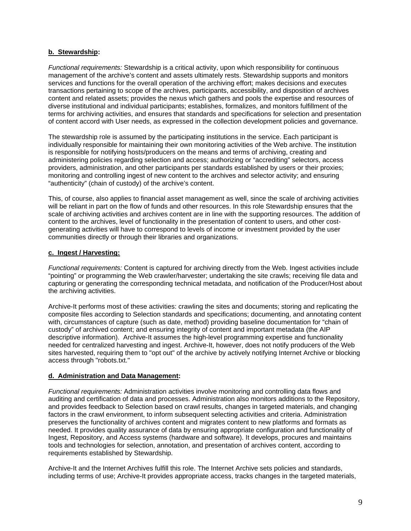# **b. Stewardship:**

*Functional requirements:* Stewardship is a critical activity, upon which responsibility for continuous management of the archive's content and assets ultimately rests. Stewardship supports and monitors services and functions for the overall operation of the archiving effort; makes decisions and executes transactions pertaining to scope of the archives, participants, accessibility, and disposition of archives content and related assets; provides the nexus which gathers and pools the expertise and resources of diverse institutional and individual participants; establishes, formalizes, and monitors fulfillment of the terms for archiving activities, and ensures that standards and specifications for selection and presentation of content accord with User needs, as expressed in the collection development policies and governance.

The stewardship role is assumed by the participating institutions in the service. Each participant is individually responsible for maintaining their own monitoring activities of the Web archive. The institution is responsible for notifying hosts/producers on the means and terms of archiving, creating and administering policies regarding selection and access; authorizing or "accrediting" selectors, access providers, administration, and other participants per standards established by users or their proxies; monitoring and controlling ingest of new content to the archives and selector activity; and ensuring "authenticity" (chain of custody) of the archive's content.

This, of course, also applies to financial asset management as well, since the scale of archiving activities will be reliant in part on the flow of funds and other resources. In this role Stewardship ensures that the scale of archiving activities and archives content are in line with the supporting resources. The addition of content to the archives, level of functionality in the presentation of content to users, and other costgenerating activities will have to correspond to levels of income or investment provided by the user communities directly or through their libraries and organizations.

### **c. Ingest / Harvesting:**

*Functional requirements:* Content is captured for archiving directly from the Web. Ingest activities include "pointing" or programming the Web crawler/harvester; undertaking the site crawls; receiving file data and capturing or generating the corresponding technical metadata, and notification of the Producer/Host about the archiving activities.

Archive-It performs most of these activities: crawling the sites and documents; storing and replicating the composite files according to Selection standards and specifications; documenting, and annotating content with, circumstances of capture (such as date, method) providing baseline documentation for "chain of custody" of archived content; and ensuring integrity of content and important metadata (the AIP descriptive information). Archive-It assumes the high-level programming expertise and functionality needed for centralized harvesting and ingest. Archive-It, however, does not notify producers of the Web sites harvested, requiring them to "opt out" of the archive by actively notifying Internet Archive or blocking access through "robots.txt."

# **d. Administration and Data Management:**

*Functional requirements:* Administration activities involve monitoring and controlling data flows and auditing and certification of data and processes. Administration also monitors additions to the Repository, and provides feedback to Selection based on crawl results, changes in targeted materials, and changing factors in the crawl environment, to inform subsequent selecting activities and criteria. Administration preserves the functionality of archives content and migrates content to new platforms and formats as needed. It provides quality assurance of data by ensuring appropriate configuration and functionality of Ingest, Repository, and Access systems (hardware and software). It develops, procures and maintains tools and technologies for selection, annotation, and presentation of archives content, according to requirements established by Stewardship.

Archive-It and the Internet Archives fulfill this role. The Internet Archive sets policies and standards, including terms of use; Archive-It provides appropriate access, tracks changes in the targeted materials,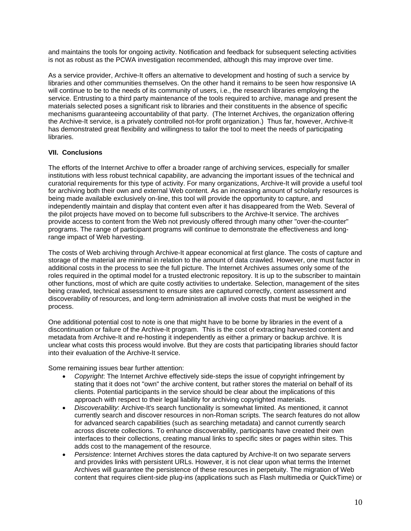and maintains the tools for ongoing activity. Notification and feedback for subsequent selecting activities is not as robust as the PCWA investigation recommended, although this may improve over time.

As a service provider, Archive-It offers an alternative to development and hosting of such a service by libraries and other communities themselves. On the other hand it remains to be seen how responsive IA will continue to be to the needs of its community of users, i.e., the research libraries employing the service. Entrusting to a third party maintenance of the tools required to archive, manage and present the materials selected poses a significant risk to libraries and their constituents in the absence of specific mechanisms guaranteeing accountability of that party. (The Internet Archives, the organization offering the Archive-It service, is a privately controlled not-for profit organization.) Thus far, however, Archive-It has demonstrated great flexibility and willingness to tailor the tool to meet the needs of participating libraries.

# **VII. Conclusions**

The efforts of the Internet Archive to offer a broader range of archiving services, especially for smaller institutions with less robust technical capability, are advancing the important issues of the technical and curatorial requirements for this type of activity. For many organizations, Archive-It will provide a useful tool for archiving both their own and external Web content. As an increasing amount of scholarly resources is being made available exclusively on-line, this tool will provide the opportunity to capture, and independently maintain and display that content even after it has disappeared from the Web. Several of the pilot projects have moved on to become full subscribers to the Archive-It service. The archives provide access to content from the Web not previously offered through many other "over-the-counter" programs. The range of participant programs will continue to demonstrate the effectiveness and longrange impact of Web harvesting.

The costs of Web archiving through Archive-It appear economical at first glance. The costs of capture and storage of the material are minimal in relation to the amount of data crawled. However, one must factor in additional costs in the process to see the full picture. The Internet Archives assumes only some of the roles required in the optimal model for a trusted electronic repository. It is up to the subscriber to maintain other functions, most of which are quite costly activities to undertake. Selection, management of the sites being crawled, technical assessment to ensure sites are captured correctly, content assessment and discoverability of resources, and long-term administration all involve costs that must be weighed in the process.

One additional potential cost to note is one that might have to be borne by libraries in the event of a discontinuation or failure of the Archive-It program. This is the cost of extracting harvested content and metadata from Archive-It and re-hosting it independently as either a primary or backup archive. It is unclear what costs this process would involve. But they are costs that participating libraries should factor into their evaluation of the Archive-It service.

Some remaining issues bear further attention:

- *Copyright*: The Internet Archive effectively side-steps the issue of copyright infringement by stating that it does not "own" the archive content, but rather stores the material on behalf of its clients. Potential participants in the service should be clear about the implications of this approach with respect to their legal liability for archiving copyrighted materials.
- *Discoverability*: Archive-It's search functionality is somewhat limited. As mentioned, it cannot currently search and discover resources in non-Roman scripts. The search features do not allow for advanced search capabilities (such as searching metadata) and cannot currently search across discrete collections. To enhance discoverability, participants have created their own interfaces to their collections, creating manual links to specific sites or pages within sites. This adds cost to the management of the resource.
- *Persistence*: Internet Archives stores the data captured by Archive-It on two separate servers and provides links with persistent URLs. However, it is not clear upon what terms the Internet Archives will guarantee the persistence of these resources in perpetuity. The migration of Web content that requires client-side plug-ins (applications such as Flash multimedia or QuickTime) or